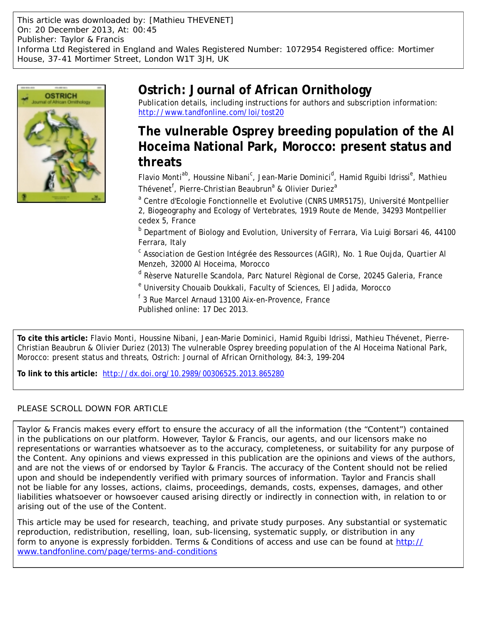This article was downloaded by: [Mathieu THEVENET] On: 20 December 2013, At: 00:45 Publisher: Taylor & Francis Informa Ltd Registered in England and Wales Registered Number: 1072954 Registered office: Mortimer House, 37-41 Mortimer Street, London W1T 3JH, UK



# **Ostrich: Journal of African Ornithology**

Publication details, including instructions for authors and subscription information: <http://www.tandfonline.com/loi/tost20>

# **The vulnerable Osprey breeding population of the Al Hoceima National Park, Morocco: present status and threats**

Flavio Monti<sup>ab</sup>, Houssine Nibani<sup>c</sup>, Jean-Marie Dominici<sup>d</sup>, Hamid Rguibi Idrissi<sup>e</sup>, Mathieu Thévenet<sup>f</sup>, Pierre-Christian Beaubrun<sup>a</sup> & Olivier Duriez<sup>a</sup>

<sup>a</sup> Centre d'Ecologie Fonctionnelle et Evolutive (CNRS UMR5175), Université Montpellier 2, Biogeography and Ecology of Vertebrates, 1919 Route de Mende, 34293 Montpellier cedex 5, France

**b** Department of Biology and Evolution, University of Ferrara, Via Luigi Borsari 46, 44100 Ferrara, Italy

<sup>c</sup> Association de Gestion Intégrée des Ressources (AGIR), No. 1 Rue Oujda, Quartier Al Menzeh, 32000 Al Hoceima, Morocco

<sup>d</sup> Rèserve Naturelle Scandola, Parc Naturel Règional de Corse, 20245 Galeria, France

<sup>e</sup> University Chouaib Doukkali, Faculty of Sciences, El Jadida, Morocco

f 3 Rue Marcel Arnaud 13100 Aix-en-Provence, France Published online: 17 Dec 2013.

**To cite this article:** Flavio Monti, Houssine Nibani, Jean-Marie Dominici, Hamid Rguibi Idrissi, Mathieu Thévenet, Pierre-Christian Beaubrun & Olivier Duriez (2013) The vulnerable Osprey breeding population of the Al Hoceima National Park, Morocco: present status and threats, Ostrich: Journal of African Ornithology, 84:3, 199-204

**To link to this article:** <http://dx.doi.org/10.2989/00306525.2013.865280>

### PLEASE SCROLL DOWN FOR ARTICLE

Taylor & Francis makes every effort to ensure the accuracy of all the information (the "Content") contained in the publications on our platform. However, Taylor & Francis, our agents, and our licensors make no representations or warranties whatsoever as to the accuracy, completeness, or suitability for any purpose of the Content. Any opinions and views expressed in this publication are the opinions and views of the authors, and are not the views of or endorsed by Taylor & Francis. The accuracy of the Content should not be relied upon and should be independently verified with primary sources of information. Taylor and Francis shall not be liable for any losses, actions, claims, proceedings, demands, costs, expenses, damages, and other liabilities whatsoever or howsoever caused arising directly or indirectly in connection with, in relation to or arising out of the use of the Content.

This article may be used for research, teaching, and private study purposes. Any substantial or systematic reproduction, redistribution, reselling, loan, sub-licensing, systematic supply, or distribution in any form to anyone is expressly forbidden. Terms & Conditions of access and use can be found at [http://](http://www.tandfonline.com/page/terms-and-conditions) [www.tandfonline.com/page/terms-and-conditions](http://www.tandfonline.com/page/terms-and-conditions)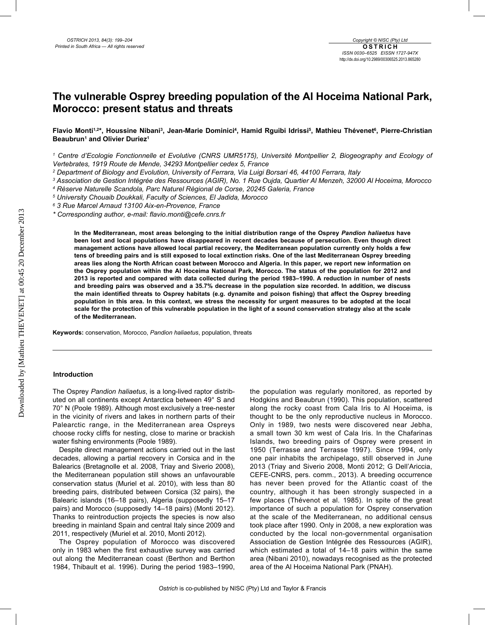## **The vulnerable Osprey breeding population of the Al Hoceima National Park, Morocco: present status and threats**

Flavio Monti<sup>1,2\*</sup>, Houssine Nibani<sup>3</sup>, Jean-Marie Dominici<sup>4</sup>, Hamid Rguibi Idrissi<sup>5</sup>, Mathieu Thévenet<sup>6</sup>, Pierre-Christian **Beaubrun1 and Olivier Duriez1**

*1 Centre d'Ecologie Fonctionnelle et Evolutive (CNRS UMR5175), Université Montpellier 2, Biogeography and Ecology of Vertebrates, 1919 Route de Mende, 34293 Montpellier cedex 5, France*

*2 Department of Biology and Evolution, University of Ferrara, Via Luigi Borsari 46, 44100 Ferrara, Italy*

*3 Association de Gestion Intégrée des Ressources (AGIR), No. 1 Rue Oujda, Quartier Al Menzeh, 32000 Al Hoceima, Morocco*

*4 Rèserve Naturelle Scandola, Parc Naturel Règional de Corse, 20245 Galeria, France*

*5 University Chouaib Doukkali, Faculty of Sciences, El Jadida, Morocco*

*6 3 Rue Marcel Arnaud 13100 Aix-en-Provence, France*

*\* Corresponding author, e-mail: flavio.monti@cefe.cnrs.fr*

**In the Mediterranean, most areas belonging to the initial distribution range of the Osprey** *Pandion haliaetus* **have been lost and local populations have disappeared in recent decades because of persecution. Even though direct management actions have allowed local partial recovery, the Mediterranean population currently only holds a few tens of breeding pairs and is still exposed to local extinction risks. One of the last Mediterranean Osprey breeding areas lies along the North African coast between Morocco and Algeria. In this paper, we report new information on the Osprey population within the Al Hoceima National Park, Morocco. The status of the population for 2012 and 2013 is reported and compared with data collected during the period 1983–1990. A reduction in number of nests and breeding pairs was observed and a 35.7% decrease in the population size recorded. In addition, we discuss the main identified threats to Osprey habitats (e.g. dynamite and poison fishing) that affect the Osprey breeding population in this area. In this context, we stress the necessity for urgent measures to be adopted at the local scale for the protection of this vulnerable population in the light of a sound conservation strategy also at the scale of the Mediterranean.**

**Keywords:** conservation, Morocco, *Pandion haliaetus*, population, threats

#### **Introduction**

The Osprey *Pandion haliaetus*, is a long-lived raptor distributed on all continents except Antarctica between 49° S and 70° N (Poole 1989). Although most exclusively a tree-nester in the vicinity of rivers and lakes in northern parts of their Palearctic range, in the Mediterranean area Ospreys choose rocky cliffs for nesting, close to marine or brackish water fishing environments (Poole 1989).

Despite direct management actions carried out in the last decades, allowing a partial recovery in Corsica and in the Balearics (Bretagnolle et al. 2008, Triay and Siverio 2008), the Mediterranean population still shows an unfavourable conservation status (Muriel et al. 2010), with less than 80 breeding pairs, distributed between Corsica (32 pairs), the Balearic islands (16–18 pairs), Algeria (supposedly 15–17 pairs) and Morocco (supposedly 14–18 pairs) (Monti 2012). Thanks to reintroduction projects the species is now also breeding in mainland Spain and central Italy since 2009 and 2011, respectively (Muriel et al. 2010, Monti 2012).

The Osprey population of Morocco was discovered only in 1983 when the first exhaustive survey was carried out along the Mediterranean coast (Berthon and Berthon 1984, Thibault et al. 1996). During the period 1983–1990,

the population was regularly monitored, as reported by Hodgkins and Beaubrun (1990). This population, scattered along the rocky coast from Cala Iris to Al Hoceima, is thought to be the only reproductive nucleus in Morocco. Only in 1989, two nests were discovered near Jebha, a small town 30 km west of Cala Iris. In the Chafarinas Islands, two breeding pairs of Osprey were present in 1950 (Terrasse and Terrasse 1997). Since 1994, only one pair inhabits the archipelago, still observed in June 2013 (Triay and Siverio 2008, Monti 2012; G Dell'Ariccia, CEFE-CNRS, pers. comm., 2013). A breeding occurrence has never been proved for the Atlantic coast of the country, although it has been strongly suspected in a few places (Thévenot et al. 1985). In spite of the great importance of such a population for Osprey conservation at the scale of the Mediterranean, no additional census took place after 1990. Only in 2008, a new exploration was conducted by the local non-governmental organisation Association de Gestion Intégrée des Ressources (AGIR), which estimated a total of 14–18 pairs within the same area (Nibani 2010), nowadays recognised as the protected area of the Al Hoceima National Park (PNAH).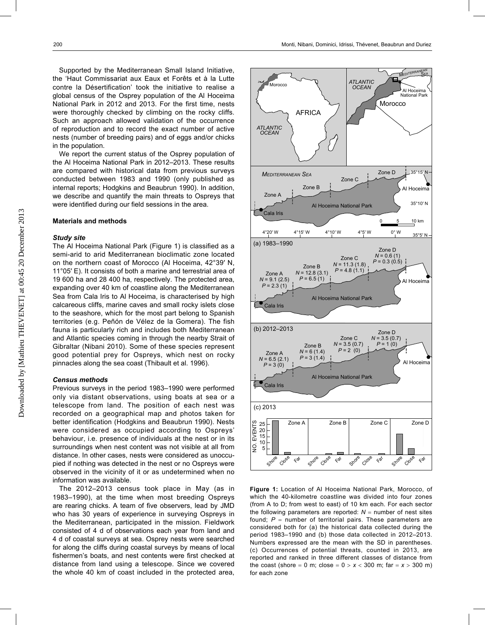Supported by the Mediterranean Small Island Initiative, the 'Haut Commissariat aux Eaux et Forêts et à la Lutte contre la Désertification' took the initiative to realise a global census of the Osprey population of the Al Hoceima National Park in 2012 and 2013. For the first time, nests were thoroughly checked by climbing on the rocky cliffs. Such an approach allowed validation of the occurrence of reproduction and to record the exact number of active nests (number of breeding pairs) and of eggs and/or chicks in the population.

We report the current status of the Osprey population of the Al Hoceima National Park in 2012–2013. These results are compared with historical data from previous surveys conducted between 1983 and 1990 (only published as internal reports; Hodgkins and Beaubrun 1990). In addition, we describe and quantify the main threats to Ospreys that were identified during our field sessions in the area.

#### **Materials and methods**

#### *Study site*

The Al Hoceima National Park (Figure 1) is classified as a semi-arid to arid Mediterranean bioclimatic zone located on the northern coast of Morocco (Al Hoceima, 42°39′ N, 11°05′ E). It consists of both a marine and terrestrial area of 19 600 ha and 28 400 ha, respectively. The protected area, expanding over 40 km of coastline along the Mediterranean Sea from Cala Iris to Al Hoceima, is characterised by high calcareous cliffs, marine caves and small rocky islets close to the seashore, which for the most part belong to Spanish territories (e.g. Peñón de Vélez de la Gomera). The fish fauna is particularly rich and includes both Mediterranean and Atlantic species coming in through the nearby Strait of Gibraltar (Nibani 2010). Some of these species represent good potential prey for Ospreys, which nest on rocky pinnacles along the sea coast (Thibault et al. 1996).

#### *Census methods*

Previous surveys in the period 1983–1990 were performed only via distant observations, using boats at sea or a telescope from land. The position of each nest was recorded on a geographical map and photos taken for better identification (Hodgkins and Beaubrun 1990). Nests were considered as occupied according to Ospreys' behaviour, i.e. presence of individuals at the nest or in its surroundings when nest content was not visible at all from distance. In other cases, nests were considered as unoccupied if nothing was detected in the nest or no Ospreys were observed in the vicinity of it or as undetermined when no information was available.

The 2012–2013 census took place in May (as in 1983–1990), at the time when most breeding Ospreys are rearing chicks. A team of five observers, lead by JMD who has 30 years of experience in surveying Ospreys in the Mediterranean, participated in the mission. Fieldwork consisted of 4 d of observations each year from land and 4 d of coastal surveys at sea. Osprey nests were searched for along the cliffs during coastal surveys by means of local fishermen's boats, and nest contents were first checked at distance from land using a telescope. Since we covered the whole 40 km of coast included in the protected area,



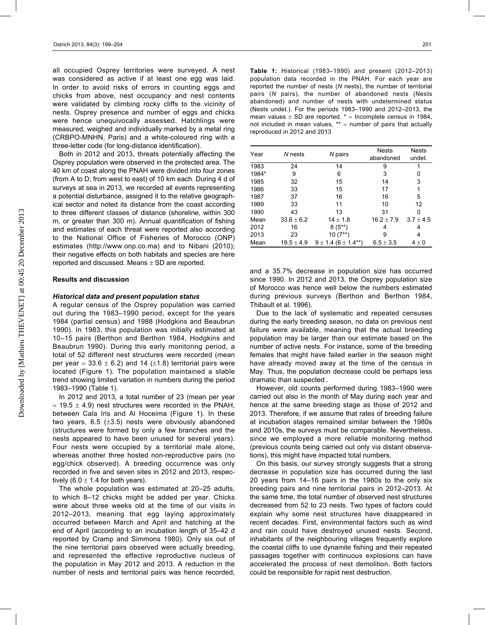all occupied Osprey territories were surveyed. A nest was considered as active if at least one egg was laid. In order to avoid risks of errors in counting eggs and chicks from above, nest occupancy and nest contents were validated by climbing rocky cliffs to the vicinity of nests. Osprey presence and number of eggs and chicks were hence unequivocally assessed. Hatchlings were measured, weighed and individually marked by a metal ring (CRBPO-MNHN, Paris) and a white-coloured ring with a three-letter code (for long-distance identification).

Both in 2012 and 2013, threats potentially affecting the Osprey population were observed in the protected area. The 40 km of coast along the PNAH were divided into four zones (from A to D; from west to east) of 10 km each. During 4 d of surveys at sea in 2013, we recorded all events representing a potential disturbance, assigned it to the relative geographical sector and noted its distance from the coast according to three different classes of distance (shoreline, within 300 m, or greater than 300 m). Annual quantification of fishing and estimates of each threat were reported also according to the National Office of Fisheries of Morocco (ONP) estimates (http://www.onp.co.ma) and to Nibani (2010); their negative effects on both habitats and species are here reported and discussed. Means  $\pm$  SD are reported.

#### **Results and discussion**

#### *Historical data and present population status*

A regular census of the Osprey population was carried out during the 1983–1990 period, except for the years 1984 (partial census) and 1988 (Hodgkins and Beaubrun 1990). In 1983, this population was initially estimated at 10–15 pairs (Berthon and Berthon 1984, Hodgkins and Beaubrun 1990). During this early monitoring period, a total of 52 different nest structures were recorded (mean per year =  $33.6 \pm 6.2$ ) and 14 ( $\pm$ 1.8) territorial pairs were located (Figure 1). The population maintained a stable trend showing limited variation in numbers during the period 1983–1990 (Table 1).

In 2012 and 2013, a total number of 23 (mean per year  $= 19.5 \pm 4.9$ ) nest structures were recorded in the PNAH, between Cala Iris and Al Hoceima (Figure 1). In these two years, 6.5 ( $\pm 3.5$ ) nests were obviously abandoned (structures were formed by only a few branches and the nests appeared to have been unused for several years). Four nests were occupied by a territorial male alone, whereas another three hosted non-reproductive pairs (no egg/chick observed). A breeding occurrence was only recorded in five and seven sites in 2012 and 2013, respectively (6.0  $\pm$  1.4 for both years).

The whole population was estimated at 20–25 adults, to which 8–12 chicks might be added per year. Chicks were about three weeks old at the time of our visits in 2012–2013, meaning that egg laying approximately occurred between March and April and hatching at the end of April (according to an incubation length of 35–42 d reported by Cramp and Simmons 1980). Only six out of the nine territorial pairs observed were actually breeding, and represented the effective reproductive nucleus of the population in May 2012 and 2013. A reduction in the number of nests and territorial pairs was hence recorded,

**Table 1:** Historical (1983–1990) and present (2012–2013) population data recorded in the PNAH. For each year are reported the number of nests (*N* nests), the number of territorial pairs (*N* pairs), the number of abandoned nests (Nests abandoned) and number of nests with undetermined status (Nests undet.). For the periods 1983–1990 and 2012–2013, the mean values  $\pm$  SD are reported.  $*$  = Incomplete census in 1984, not included in mean values,  $**$  = number of pairs that actually reproduced in 2012 and 2013

| Year  | N nests        | N pairs                     | <b>Nests</b>   | <b>Nests</b> |
|-------|----------------|-----------------------------|----------------|--------------|
|       |                |                             | abandoned      | undet.       |
| 1983  | 24             | 14                          | 9              |              |
| 1984* | 9              | 6                           | 3              | 0            |
| 1985  | 32             | 15                          | 14             | 3            |
| 1986  | 33             | 15                          | 17             |              |
| 1987  | 37             | 16                          | 16             | 5            |
| 1989  | 33             | 11                          | 10             | 12           |
| 1990  | 43             | 13                          | 31             | 0            |
| Mean  | $33.6 \pm 6.2$ | $14 \pm 1.8$                | $16.2 \pm 7.9$ | $3.7 + 4.5$  |
| 2012  | 16             | $8(5**)$                    | 4              | 4            |
| 2013  | 23             | $10(7**)$                   | 9              | 4            |
| Mean  | $19.5 \pm 4.9$ | $9 \pm 1.4$ (6 $\pm$ 1.4**) | $6.5 \pm 3.5$  | $4 + 0$      |

and a 35.7% decrease in population size has occurred since 1990. In 2012 and 2013, the Osprey population size of Morocco was hence well below the numbers estimated during previous surveys (Berthon and Berthon 1984, Thibault et al. 1996).

Due to the lack of systematic and repeated censuses during the early breeding season, no data on previous nest failure were available, meaning that the actual breeding population may be larger than our estimate based on the number of active nests. For instance, some of the breeding females that might have failed earlier in the season might have already moved away at the time of the census in May. Thus, the population decrease could be perhaps less dramatic than suspected.

However, old counts performed during 1983–1990 were carried out also in the month of May during each year and hence at the same breeding stage as those of 2012 and 2013. Therefore, if we assume that rates of breeding failure at incubation stages remained similar between the 1980s and 2010s, the surveys must be comparable. Nevertheless, since we employed a more reliable monitoring method (previous counts being carried out only via distant observations), this might have impacted total numbers.

On this basis, our survey strongly suggests that a strong decrease in population size has occurred during the last 20 years from 14–16 pairs in the 1980s to the only six breeding pairs and nine territorial pairs in 2012–2013. At the same time, the total number of observed nest structures decreased from 52 to 23 nests. Two types of factors could explain why some nest structures have disappeared in recent decades. First, environmental factors such as wind and rain could have destroyed unused nests. Second, inhabitants of the neighbouring villages frequently explore the coastal cliffs to use dynamite fishing and their repeated passages together with continuous explosions can have accelerated the process of nest demolition. Both factors could be responsible for rapid nest destruction.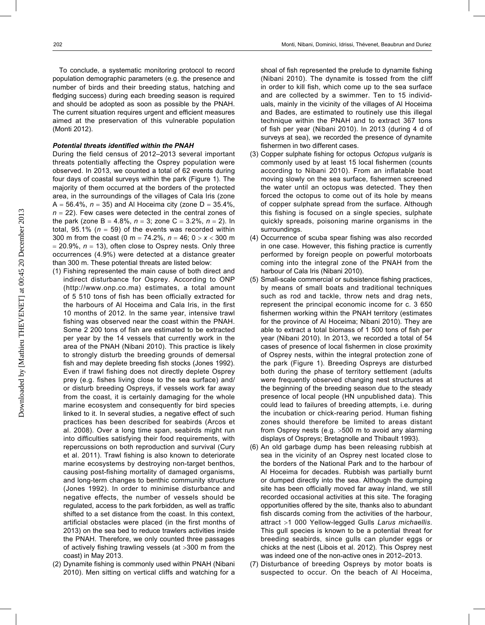To conclude, a systematic monitoring protocol to record population demographic parameters (e.g. the presence and number of birds and their breeding status, hatching and fledging success) during each breeding season is required and should be adopted as soon as possible by the PNAH. The current situation requires urgent and efficient measures aimed at the preservation of this vulnerable population (Monti 2012).

#### *Potential threats identified within the PNAH*

During the field census of 2012–2013 several important threats potentially affecting the Osprey population were observed. In 2013, we counted a total of 62 events during four days of coastal surveys within the park (Figure 1). The majority of them occurred at the borders of the protected area, in the surroundings of the villages of Cala Iris (zone  $A = 56.4\%, n = 35$ ) and Al Hoceima city (zone D = 35.4%,  $n = 22$ ). Few cases were detected in the central zones of the park (zone B = 4.8%,  $n = 3$ ; zone C = 3.2%,  $n = 2$ ). In total, 95.1%  $(n = 59)$  of the events was recorded within 300 m from the coast (0 m = 74.2%,  $n = 46$ ; 0 >  $x < 300$  m  $= 20.9\%$ ,  $n = 13$ ), often close to Osprey nests. Only three occurrences (4.9%) were detected at a distance greater than 300 m. These potential threats are listed below:

- (1) Fishing represented the main cause of both direct and indirect disturbance for Osprey. According to ONP (http://www.onp.co.ma) estimates, a total amount of 5 510 tons of fish has been officially extracted for the harbours of Al Hoceima and Cala Iris, in the first 10 months of 2012. In the same year, intensive trawl fishing was observed near the coast within the PNAH. Some 2 200 tons of fish are estimated to be extracted per year by the 14 vessels that currently work in the area of the PNAH (Nibani 2010). This practice is likely to strongly disturb the breeding grounds of demersal fish and may deplete breeding fish stocks (Jones 1992). Even if trawl fishing does not directly deplete Osprey prey (e.g. fishes living close to the sea surface) and/ or disturb breeding Ospreys, if vessels work far away from the coast, it is certainly damaging for the whole marine ecosystem and consequently for bird species linked to it. In several studies, a negative effect of such practices has been described for seabirds (Arcos et al. 2008). Over a long time span, seabirds might run into difficulties satisfying their food requirements, with repercussions on both reproduction and survival (Cury et al. 2011). Trawl fishing is also known to deteriorate marine ecosystems by destroying non-target benthos, causing post-fishing mortality of damaged organisms, and long-term changes to benthic community structure (Jones 1992). In order to minimise disturbance and negative effects, the number of vessels should be regulated, access to the park forbidden, as well as traffic shifted to a set distance from the coast. In this context, artificial obstacles were placed (in the first months of 2013) on the sea bed to reduce trawlers activities inside the PNAH. Therefore, we only counted three passages of actively fishing trawling vessels (at  $>300$  m from the coast) in May 2013.
- (2) Dynamite fishing is commonly used within PNAH (Nibani 2010). Men sitting on vertical cliffs and watching for a

shoal of fish represented the prelude to dynamite fishing (Nibani 2010). The dynamite is tossed from the cliff in order to kill fish, which come up to the sea surface and are collected by a swimmer. Ten to 15 individuals, mainly in the vicinity of the villages of Al Hoceima and Bades, are estimated to routinely use this illegal technique within the PNAH and to extract 367 tons of fish per year (Nibani 2010). In 2013 (during 4 d of surveys at sea), we recorded the presence of dynamite fishermen in two different cases.

- (3) Copper sulphate fishing for octopus *Octopus vulgaris* is commonly used by at least 15 local fishermen (counts according to Nibani 2010). From an inflatable boat moving slowly on the sea surface, fishermen screened the water until an octopus was detected. They then forced the octopus to come out of its hole by means of copper sulphate spread from the surface. Although this fishing is focused on a single species, sulphate quickly spreads, poisoning marine organisms in the surroundings.
- (4) Occurrence of scuba spear fishing was also recorded in one case. However, this fishing practice is currently performed by foreign people on powerful motorboats coming into the integral zone of the PNAH from the harbour of Cala Iris (Nibani 2010).
- (5) Small-scale commercial or subsistence fishing practices, by means of small boats and traditional techniques such as rod and tackle, throw nets and drag nets, represent the principal economic income for c. 3 650 fishermen working within the PNAH territory (estimates for the province of Al Hoceima; Nibani 2010). They are able to extract a total biomass of 1 500 tons of fish per year (Nibani 2010). In 2013, we recorded a total of 54 cases of presence of local fishermen in close proximity of Osprey nests, within the integral protection zone of the park (Figure 1). Breeding Ospreys are disturbed both during the phase of territory settlement (adults were frequently observed changing nest structures at the beginning of the breeding season due to the steady presence of local people (HN unpublished data). This could lead to failures of breeding attempts, i.e. during the incubation or chick-rearing period. Human fishing zones should therefore be limited to areas distant from Osprey nests (e.g.  $>500$  m to avoid any alarming displays of Ospreys; Bretagnolle and Thibault 1993).
- (6) An old garbage dump has been releasing rubbish at sea in the vicinity of an Osprey nest located close to the borders of the National Park and to the harbour of Al Hoceima for decades. Rubbish was partially burnt or dumped directly into the sea. Although the dumping site has been officially moved far away inland, we still recorded occasional activities at this site. The foraging opportunities offered by the site, thanks also to abundant fish discards coming from the activities of the harbour, attract 1 000 Yellow-legged Gulls *Larus michaellis*. This gull species is known to be a potential threat for breeding seabirds, since gulls can plunder eggs or chicks at the nest (Libois et al. 2012). This Osprey nest was indeed one of the non-active ones in 2012–2013.
- (7) Disturbance of breeding Ospreys by motor boats is suspected to occur. On the beach of Al Hoceima,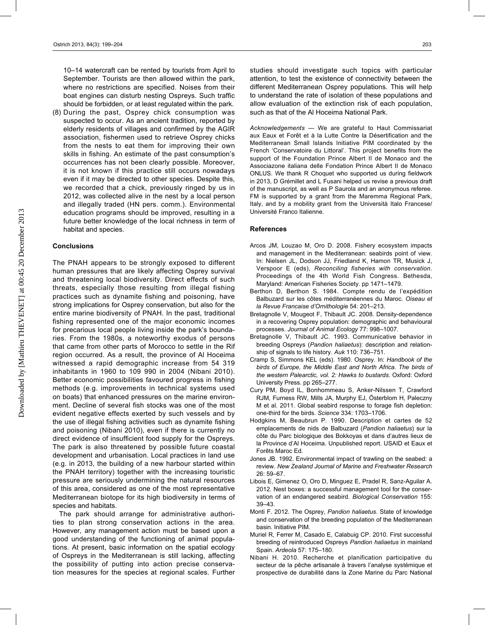10–14 watercraft can be rented by tourists from April to September. Tourists are then allowed within the park, where no restrictions are specified. Noises from their boat engines can disturb nesting Ospreys. Such traffic should be forbidden, or at least regulated within the park.

(8) During the past, Osprey chick consumption was suspected to occur. As an ancient tradition, reported by elderly residents of villages and confirmed by the AGIR association, fishermen used to retrieve Osprey chicks from the nests to eat them for improving their own skills in fishing. An estimate of the past consumption's occurrences has not been clearly possible. Moreover, it is not known if this practice still occurs nowadays even if it may be directed to other species. Despite this, we recorded that a chick, previously ringed by us in 2012, was collected alive in the nest by a local person and illegally traded (HN pers. comm*.*). Environmental education programs should be improved, resulting in a future better knowledge of the local richness in term of habitat and species.

### **Conclusions**

The PNAH appears to be strongly exposed to different human pressures that are likely affecting Osprey survival and threatening local biodiversity. Direct effects of such threats, especially those resulting from illegal fishing practices such as dynamite fishing and poisoning, have strong implications for Osprey conservation, but also for the entire marine biodiversity of PNAH. In the past, traditional fishing represented one of the major economic incomes for precarious local people living inside the park's boundaries. From the 1980s, a noteworthy exodus of persons that came from other parts of Morocco to settle in the Rif region occurred. As a result, the province of Al Hoceima witnessed a rapid demographic increase from 54 319 inhabitants in 1960 to 109 990 in 2004 (Nibani 2010). Better economic possibilities favoured progress in fishing methods (e.g. improvements in technical systems used on boats) that enhanced pressures on the marine environment. Decline of several fish stocks was one of the most evident negative effects exerted by such vessels and by the use of illegal fishing activities such as dynamite fishing and poisoning (Nibani 2010), even if there is currently no direct evidence of insufficient food supply for the Ospreys. The park is also threatened by possible future coastal development and urbanisation. Local practices in land use (e.g. in 2013, the building of a new harbour started within the PNAH territory) together with the increasing touristic pressure are seriously undermining the natural resources of this area, considered as one of the most representative Mediterranean biotope for its high biodiversity in terms of species and habitats.

The park should arrange for administrative authorities to plan strong conservation actions in the area. However, any management action must be based upon a good understanding of the functioning of animal populations. At present, basic information on the spatial ecology of Ospreys in the Mediterranean is still lacking, affecting the possibility of putting into action precise conservation measures for the species at regional scales. Further

studies should investigate such topics with particular attention, to test the existence of connectivity between the different Mediterranean Osprey populations. This will help to understand the rate of isolation of these populations and allow evaluation of the extinction risk of each population, such as that of the Al Hoceima National Park.

*Acknowledgements* — We are grateful to Haut Commissariat aux Eaux et Forêt et à la Lutte Contre la Désertification and the Mediterranean Small Islands Initiative PIM coordinated by the French 'Conservatoire du Littoral'. This project benefits from the support of the Foundation Prince Albert II de Monaco and the Associazone italiana delle Fondation Prince Albert II de Monaco ONLUS. We thank R Choquet who supported us during fieldwork in 2013, D Grémillet and L Fusani helped us revise a previous draft of the manuscript, as well as P Saurola and an anonymous referee. FM is supported by a grant from the Maremma Regional Park, Italy, and by a mobility grant from the Università Italo Francese/ Université Franco Italienne.

#### **References**

- Arcos JM, Louzao M, Oro D. 2008. Fishery ecosystem impacts and management in the Mediterranean: seabirds point of view. In: Nielsen JL, Dodson JJ, Friedland K, Hamon TR, Musick J, Verspoor E (eds), *Reconciling fisheries with conservation*. Proceedings of the 4th World Fish Congress. Bethesda, Maryland: American Fisheries Society. pp 1471–1479.
- Berthon D, Berthon S. 1984. Compte rendu de l'expédition Balbuzard sur les côtes méditerranéennes du Maroc. *Oiseau et la Revue Francaise d'Ornithologie* 54: 201–213.
- Bretagnolle V, Mougeot F, Thibault JC. 2008. Density-dependence in a recovering Osprey population: demographic and behavioural processes. *Journal of Animal Ecology* 77: 998–1007.
- Bretagnolle V, Thibault JC. 1993. Communicative behavior in breeding Ospreys (*Pandion haliaetus*): description and relationship of signals to life history. *Auk* 110: 736–751.
- Cramp S, Simmons KEL (eds). 1980. Osprey. In: *Handbook of the birds of Europe, the Middle East and North Africa. The birds of the western Palearctic, vol. 2: Hawks to bustards*. Oxford: Oxford University Press. pp 265–277.
- Cury PM, Boyd IL, Bonhommeau S, Anker-Nilssen T, Crawford RJM, Furness RW, Mills JA, Murphy EJ, Österblom H, Paleczny M et al. 2011. Global seabird response to forage fish depletion: one-third for the birds. *Science* 334: 1703–1706.
- Hodgkins M, Beaubrun P. 1990. Description et cartes de 52 emplacements de nids de Balbuzard (*Pandion haliaetus*) sur la côte du Parc biologique des Bokkoyas et dans d'autres lieux de la Province d'Al Hoceima. Unpublished report. USAID et Eaux et Forêts Maroc Ed.
- Jones JB. 1992. Environmental impact of trawling on the seabed: a review. *New Zealand Journal of Marine and Freshwater Research* 26: 59–67.
- Libois E, Gimenez O, Oro D, Minguez E, Pradel R, Sanz-Aguilar A. 2012. Nest boxes: a successful management tool for the conservation of an endangered seabird. *Biological Conservation* 155: 39–43.
- Monti F. 2012. The Osprey, *Pandion haliaetus*. State of knowledge and conservation of the breeding population of the Mediterranean basin. Initiative PIM.
- Muriel R, Ferrer M, Casado E, Calabuig CP. 2010. First successful breeding of reintroduced Ospreys *Pandion haliaetus* in mainland Spain. *Ardeola* 57: 175–180.
- Nibani H. 2010. Recherche et planification participative du secteur de la pêche artisanale à travers l'analyse systémique et prospective de durabilité dans la Zone Marine du Parc National